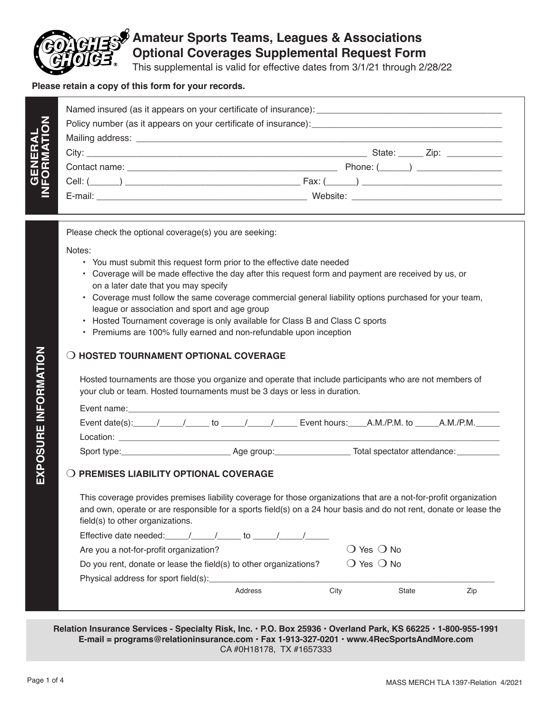

## **Amateur Sports Teams, Leagues & Associations Optional Coverages Supplemental Request Form**

This supplemental is valid for effective dates from 3/1/21 through 2/28/22

## **Please retain a copy of this form for your records.**

| GENERAL<br>INFORMATION |                                 |
|------------------------|---------------------------------|
|                        | State: ______ Zip: ____________ |
|                        | Phone: $(\_\_)$ $\_\_$          |
|                        |                                 |
|                        |                                 |

Please check the optional coverage(s) you are seeking:

Notes:

- You must submit this request form prior to the effective date needed
- Coverage will be made effective the day after this request form and payment are received by us, or on a later date that you may specify
- Coverage must follow the same coverage commercial general liability options purchased for your team, league or association and sport and age group
- Hosted Tournament coverage is only available for Class B and Class C sports
- Premiums are 100% fully earned and non-refundable upon inception

## **O HOSTED TOURNAMENT OPTIONAL COVERAGE**

Hosted tournaments are those you organize and operate that include participants who are not members of your club or team. Hosted tournaments must be 3 days or less in duration.

| Event name:                                  |  |            |  |                             |           |  |
|----------------------------------------------|--|------------|--|-----------------------------|-----------|--|
| Event date(s): $\frac{1}{2}$ / $\frac{1}{2}$ |  |            |  | Event hours: A.M./P.M. to   | A.M./P.M. |  |
| Location:                                    |  |            |  |                             |           |  |
| Sport type:                                  |  | Age group: |  | Total spectator attendance: |           |  |

## **O PREMISES LIABILITY OPTIONAL COVERAGE**

This coverage provides premises liability coverage for those organizations that are a not-for-profit organization and own, operate or are responsible for a sports field(s) on a 24 hour basis and do not rent, donate or lease the field(s) to other organizations.

| Effective date needed: /                                          | to      |                              |              |     |
|-------------------------------------------------------------------|---------|------------------------------|--------------|-----|
| Are you a not-for-profit organization?                            |         |                              | () Yes () No |     |
| Do you rent, donate or lease the field(s) to other organizations? |         | $\bigcirc$ Yes $\bigcirc$ No |              |     |
| Physical address for sport field(s):                              |         |                              |              |     |
|                                                                   | Address | City                         | State        | Zip |

**Relation Insurance Services - Specialty Risk, Inc. • P.O. Box 25936 • Overland Park, KS 66225 • 1-800-955-1991 E-mail = programs@relationinsurance.com • Fax 1-913-327-0201 • www.4RecSportsAndMore.com** CA #0H18178, TX #1657333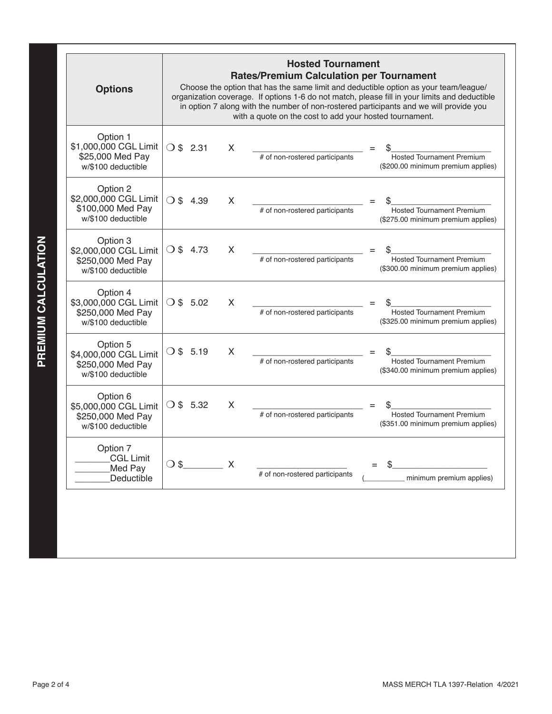| <b>Options</b>                                                               |                       |                           | <b>Hosted Tournament</b><br><b>Rates/Premium Calculation per Tournament</b><br>with a quote on the cost to add your hosted tournament. | Choose the option that has the same limit and deductible option as your team/league/<br>organization coverage. If options 1-6 do not match, please fill in your limits and deductible<br>in option 7 along with the number of non-rostered participants and we will provide you |
|------------------------------------------------------------------------------|-----------------------|---------------------------|----------------------------------------------------------------------------------------------------------------------------------------|---------------------------------------------------------------------------------------------------------------------------------------------------------------------------------------------------------------------------------------------------------------------------------|
| Option 1<br>\$1,000,000 CGL Limit<br>\$25,000 Med Pay<br>w/\$100 deductible  | $\bigcirc$ \$ 2.31    | X                         | # of non-rostered participants                                                                                                         | Hosted Tournament Premium<br>(\$200.00 minimum premium applies)                                                                                                                                                                                                                 |
| Option 2<br>\$2,000,000 CGL Limit<br>\$100,000 Med Pay<br>w/\$100 deductible | $\bigcirc$ \$<br>4.39 | X                         | # of non-rostered participants                                                                                                         | <b>Hosted Tournament Premium</b><br>(\$275.00 minimum premium applies)                                                                                                                                                                                                          |
| Option 3<br>\$2,000,000 CGL Limit<br>\$250,000 Med Pay<br>w/\$100 deductible | $\bigcirc$ \$ 4.73    | X                         | # of non-rostered participants                                                                                                         | <b>Hosted Tournament Premium</b><br>(\$300.00 minimum premium applies)                                                                                                                                                                                                          |
| Option 4<br>\$3,000,000 CGL Limit<br>\$250,000 Med Pay<br>w/\$100 deductible | $\bigcirc$ \$ 5.02    | X                         | # of non-rostered participants                                                                                                         | <b>Hosted Tournament Premium</b><br>(\$325.00 minimum premium applies)                                                                                                                                                                                                          |
| Option 5<br>\$4,000,000 CGL Limit<br>\$250,000 Med Pay<br>w/\$100 deductible | $\bigcirc$ \$ 5.19    | X                         | # of non-rostered participants                                                                                                         | <b>Hosted Tournament Premium</b><br>(\$340.00 minimum premium applies)                                                                                                                                                                                                          |
| Option 6<br>\$5,000,000 CGL Limit<br>\$250,000 Med Pay<br>w/\$100 deductible | $\bigcirc$ \$ 5.32    | X                         | # of non-rostered participants                                                                                                         | <b>Hosted Tournament Premium</b><br>(\$351.00 minimum premium applies)                                                                                                                                                                                                          |
| Option 7<br><b>CGL Limit</b><br>Med Pay<br>Deductible                        | $\bigcirc$ \$         | $\mathsf{X}$ $\mathsf{X}$ | # of non-rostered participants                                                                                                         | minimum premium applies)                                                                                                                                                                                                                                                        |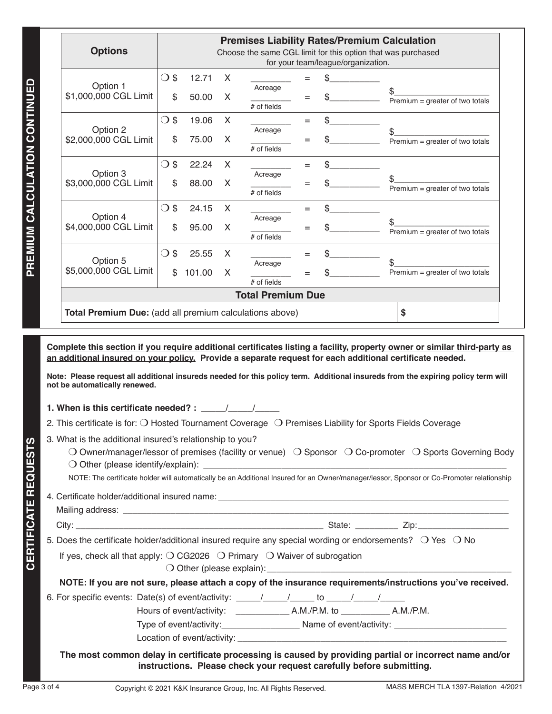| <b>Options</b>                                          |               |        |   |                          |     |                                    | <b>Premises Liability Rates/Premium Calculation</b><br>Choose the same CGL limit for this option that was purchased                                                                                                                   |
|---------------------------------------------------------|---------------|--------|---|--------------------------|-----|------------------------------------|---------------------------------------------------------------------------------------------------------------------------------------------------------------------------------------------------------------------------------------|
|                                                         |               |        |   |                          |     | for your team/league/organization. |                                                                                                                                                                                                                                       |
| Option 1                                                | $\bigcirc$ \$ | 12.71  | X | Acreage                  | $=$ |                                    |                                                                                                                                                                                                                                       |
| \$1,000,000 CGL Limit                                   | \$            | 50.00  | X |                          | $=$ |                                    | Premium = greater of two totals                                                                                                                                                                                                       |
|                                                         |               |        |   | $#$ of fields            |     |                                    |                                                                                                                                                                                                                                       |
|                                                         | $\bigcirc$ \$ | 19.06  | X |                          | $=$ | \$                                 |                                                                                                                                                                                                                                       |
| Option 2                                                |               |        |   | Acreage                  |     |                                    |                                                                                                                                                                                                                                       |
| \$2,000,000 CGL Limit                                   | \$            | 75.00  | X | $#$ of fields            | Ξ   |                                    | Premium = greater of two totals                                                                                                                                                                                                       |
|                                                         |               |        |   |                          |     |                                    |                                                                                                                                                                                                                                       |
| Option 3                                                | $\bigcirc$ \$ | 22.24  | X | Acreage                  | $=$ | \$                                 |                                                                                                                                                                                                                                       |
| \$3,000,000 CGL Limit                                   | \$            | 88.00  | X |                          | $=$ |                                    | \$                                                                                                                                                                                                                                    |
|                                                         |               |        |   | $#$ of fields            |     |                                    | Premium = greater of two totals                                                                                                                                                                                                       |
|                                                         | $\bigcirc$ \$ | 24.15  | X |                          | $=$ | \$                                 |                                                                                                                                                                                                                                       |
| Option 4                                                |               |        |   | Acreage                  |     |                                    |                                                                                                                                                                                                                                       |
| \$4,000,000 CGL Limit                                   | \$            | 95.00  | X | $#$ of fields            | Ξ   |                                    | Premium = greater of two totals                                                                                                                                                                                                       |
|                                                         |               |        |   |                          |     |                                    |                                                                                                                                                                                                                                       |
|                                                         | $\bigcirc$ \$ | 25.55  | X |                          | $=$ | \$                                 |                                                                                                                                                                                                                                       |
| Option 5<br>\$5,000,000 CGL Limit                       | \$            | 101.00 | X | Acreage                  |     |                                    | Premium = greater of two totals                                                                                                                                                                                                       |
|                                                         |               |        |   | $#$ of fields            |     |                                    |                                                                                                                                                                                                                                       |
|                                                         |               |        |   | <b>Total Premium Due</b> |     |                                    |                                                                                                                                                                                                                                       |
| Total Premium Due: (add all premium calculations above) |               |        |   |                          |     |                                    | \$                                                                                                                                                                                                                                    |
|                                                         |               |        |   |                          |     |                                    |                                                                                                                                                                                                                                       |
|                                                         |               |        |   |                          |     |                                    |                                                                                                                                                                                                                                       |
|                                                         |               |        |   |                          |     |                                    | Complete this section if you require additional certificates listing a facility, property owner or similar third-party as<br>an additional insured on your policy. Provide a separate request for each additional certificate needed. |
|                                                         |               |        |   |                          |     |                                    | Note: Please request all additional insureds needed for this policy term. Additional insureds from the expiring policy term will                                                                                                      |
| not be automatically renewed.                           |               |        |   |                          |     |                                    |                                                                                                                                                                                                                                       |

**1. When is this certificate needed? :**  $\frac{1}{2}$ 

2. This certificate is for:  $\bigcirc$  Hosted Tournament Coverage  $\bigcirc$  Premises Liability for Sports Fields Coverage

3. What is the additional insured's relationship to you?

| O Owner/manager/lessor of premises (facility or venue) $\bigcirc$ Sponsor $\bigcirc$ Co-promoter $\bigcirc$ Sports Governing Body |  |  |
|-----------------------------------------------------------------------------------------------------------------------------------|--|--|
| $\bigcirc$ Other (please identify/explain):                                                                                       |  |  |

NOTE: The certificate holder will automatically be an Additional Insured for an Owner/manager/lessor, Sponsor or Co-Promoter relationship

4. Certificate holder/additional insured name: \_\_\_\_\_\_\_\_\_\_\_\_\_\_\_\_\_\_\_\_\_\_\_\_\_\_\_\_\_\_\_\_\_ Mailing address: \_\_\_\_\_\_\_\_\_\_\_\_\_\_\_\_\_\_\_\_\_\_\_\_\_\_\_\_\_\_\_\_\_\_\_\_\_\_\_\_\_\_\_\_\_\_\_\_\_\_\_\_\_\_\_\_\_\_\_\_\_\_\_\_\_\_\_\_\_\_\_\_\_\_\_\_\_\_\_\_\_

City: \_\_\_\_\_\_\_\_\_\_\_\_\_\_\_\_\_\_\_\_\_\_\_\_\_\_\_\_\_\_\_\_\_\_\_\_\_\_\_\_\_\_\_\_\_\_\_\_\_\_\_\_ State: \_\_\_\_\_\_\_\_\_ Zip:\_\_\_\_\_\_\_\_\_\_\_\_\_\_\_\_\_\_\_

**CERTIFICATE REQUESTS**

**CERTIFICATE REQUESTS** 

5. Does the certificate holder/additional insured require any special wording or endorsements?  $\bigcirc$  Yes  $\bigcirc$  No

If yes, check all that apply:  $\bigcirc$  CG2026  $\bigcirc$  Primary  $\bigcirc$  Waiver of subrogation

 $\bigcirc$  Other (please explain):

**NOTE: If you are not sure, please attach a copy of the insurance requirements/instructions you've received.**

6. For specific events: Date(s) of event/activity:  $\underline{\qquad \qquad}/\qquad \qquad}$  to  $\underline{\qquad \qquad}/\qquad \qquad}/\qquad$ 

Hours of event/activity: A.M./P.M. to A.M./P.M.

Type of event/activity:\_\_\_\_\_\_\_\_\_\_\_\_\_\_\_\_\_\_\_\_\_\_\_\_\_ Name of event/activity: \_\_\_\_\_\_\_

Location of event/activity:

**The most common delay in certificate processing is caused by providing partial or incorrect name and/or instructions. Please check your request carefully before submitting.**